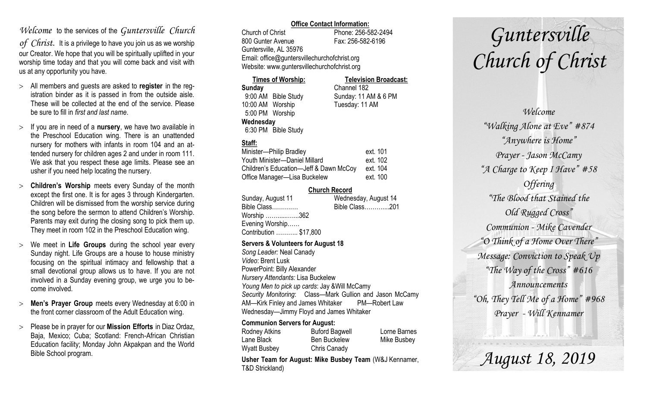### *Welcome* to the services of the *Guntersville Church*

*of Christ*. It is a privilege to have you join us as we worship our Creator. We hope that you will be spiritually uplifted in your worship time today and that you will come back and visit with us at any opportunity you have.

- All members and guests are asked to **register** in the registration binder as it is passed in from the outside aisle. These will be collected at the end of the service. Please be sure to fill in *first and last name*.
- $>$  If you are in need of a **nursery**, we have two available in the Preschool Education wing. There is an unattended nursery for mothers with infants in room 104 and an attended nursery for children ages 2 and under in room 111. We ask that you respect these age limits. Please see an usher if you need help locating the nursery.
- **Children's Worship** meets every Sunday of the month except the first one. It is for ages 3 through Kindergarten. Children will be dismissed from the worship service during the song before the sermon to attend Children's Worship. Parents may exit during the closing song to pick them up. They meet in room 102 in the Preschool Education wing.
- We meet in **Life Groups** during the school year every Sunday night. Life Groups are a house to house ministry focusing on the spiritual intimacy and fellowship that a small devotional group allows us to have. If you are not involved in a Sunday evening group, we urge you to become involved.
- **Men's Prayer Group** meets every Wednesday at 6:00 in the front corner classroom of the Adult Education wing.
- Please be in prayer for our **Mission Efforts** in Diaz Ordaz, Baja, Mexico; Cuba; Scotland: French-African Christian Education facility; Monday John Akpakpan and the World Bible School program.

#### **Office Contact Information:**

Church of Christ Phone: 256-582-2494 800 Gunter Avenue Fax: 256-582-6196 Guntersville, AL 35976 Email: office@guntersvillechurchofchrist.org Website: www.guntersvillechurchofchrist.org

| <b>Times of Worship:</b> |                     | <b>Television Broadcast:</b> |  |
|--------------------------|---------------------|------------------------------|--|
| Sunday                   |                     | Channel 182                  |  |
|                          | 9:00 AM Bible Study | Sunday: 11 AM & 6 PM         |  |
| 10:00 AM Worship         |                     | Tuesday: 11 AM               |  |
| 5:00 PM Worship          |                     |                              |  |
| Wednesday                |                     |                              |  |
|                          | 6:30 PM Bible Study |                              |  |

#### **Staff:**

| Minister-Philip Bradley                | ext. 101 |
|----------------------------------------|----------|
| Youth Minister-Daniel Millard          | ext. 102 |
| Children's Education-Jeff & Dawn McCoy | ext. 104 |
| Office Manager-Lisa Buckelew           | ext. 100 |

#### **Church Record**

| Sunday, August 11      | Wednesday, August 14 |  |
|------------------------|----------------------|--|
| Bible Class            | Bible Class201       |  |
| Worship 362            |                      |  |
| Evening Worship        |                      |  |
| Contribution  \$17,800 |                      |  |
|                        |                      |  |

#### **Servers & Volunteers for August 18**

*Song Leader:* Neal Canady *Video*: Brent Lusk PowerPoint: Billy Alexander *Nursery Attendants:* Lisa Buckelew *Young Men to pick up cards*: Jay &Will McCamy *Security Monitoring*: Class—Mark Gullion and Jason McCamy AM—Kirk Finley and James Whitaker PM—Robert Law Wednesday—Jimmy Floyd and James Whitaker

#### **Communion Servers for August:**

| Rodney Atkins       | <b>Buford Bagwell</b> | Lorne Barnes |
|---------------------|-----------------------|--------------|
| Lane Black          | <b>Ben Buckelew</b>   | Mike Busbey  |
| <b>Wyatt Busbey</b> | Chris Canady          |              |

**Usher Team for August: Mike Busbey Team** (W&J Kennamer, T&D Strickland)

# *Guntersville Church of Christ*

*Welcome "Walking Alone at Eve" #874 "Anywhere is Home" Prayer - Jason McCamy "A Charge to Keep I Have" #58 Offering "The Blood that Stained the Old Rugged Cross" Communion - Mike Cavender "O Think of a Home Over There" Message: Conviction to Speak Up "The Way of the Cross" #616 Announcements "Oh, They Tell Me of a Home" #968 Prayer - Will Kennamer*

*August 18, 2019*